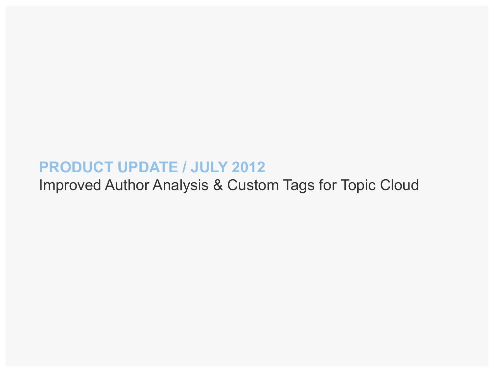#### **PRODUCT UPDATE / JULY 2012**

Improved Author Analysis & Custom Tags for Topic Cloud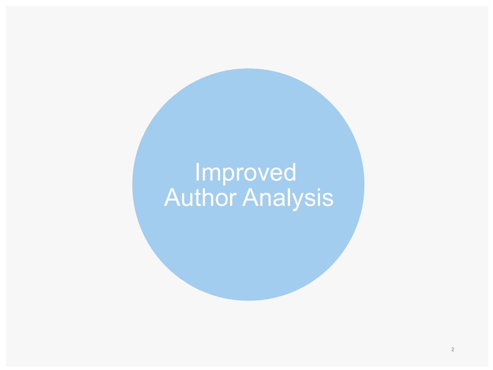# Improved Author Analysis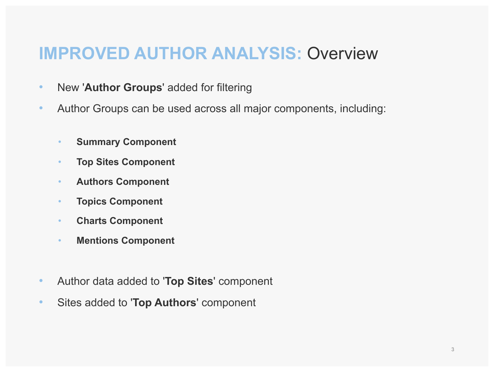#### **IMPROVED AUTHOR ANALYSIS:** Overview

- New '**Author Groups**' added for filtering
- Author Groups can be used across all major components, including:
	- **Summary Component**
	- **Top Sites Component**
	- **Authors Component**
	- **Topics Component**
	- **Charts Component**
	- **Mentions Component**
- Author data added to '**Top Sites**' component
- Sites added to '**Top Authors**' component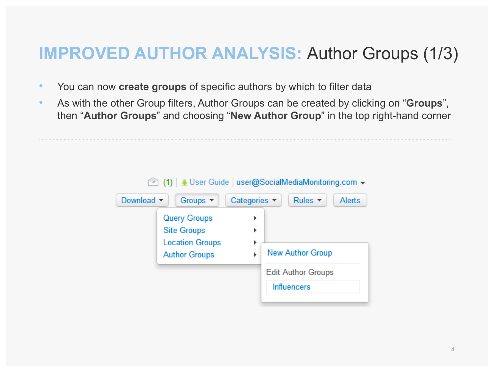#### **IMPROVED AUTHOR ANALYSIS:** Author Groups (1/3)

- You can now **create groups** of specific authors by which to filter data
- As with the other Group filters, Author Groups can be created by clicking on "**Groups**", then "**Author Groups**" and choosing "**New Author Group**" in the top right-hand corner

| user@SocialMediaMonitoring.com ▼<br>$\circledcirc$ (1) $\downarrow$ User Guide |                                                                                             |                                 |                                                 |  |  |  |  |
|--------------------------------------------------------------------------------|---------------------------------------------------------------------------------------------|---------------------------------|-------------------------------------------------|--|--|--|--|
| Download $\blacktriangledown$                                                  | Groups $\blacktriangledown$                                                                 | Categories $\blacktriangledown$ | Rules $\blacktriangledown$<br><b>Alerts</b>     |  |  |  |  |
|                                                                                | <b>Query Groups</b><br><b>Site Groups</b><br><b>Location Groups</b><br><b>Author Groups</b> | Þ<br>Þ<br>Þ<br>Þ                | <b>New Author Group</b>                         |  |  |  |  |
|                                                                                |                                                                                             |                                 | <b>Edit Author Groups</b><br><b>Influencers</b> |  |  |  |  |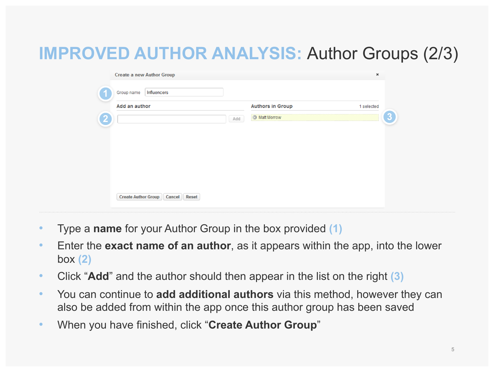# **IMPROVED AUTHOR ANALYSIS:** Author Groups (2/3)

| Add an author | <b>Authors in Group</b>     | 1 selected |
|---------------|-----------------------------|------------|
|               | <b>3</b> Matt Morrow<br>Add |            |
|               |                             |            |
|               |                             |            |
|               |                             |            |
|               |                             |            |
|               |                             |            |
|               |                             |            |
|               |                             |            |
|               |                             |            |

- Type a **name** for your Author Group in the box provided **(1)**
- Enter the **exact name of an author**, as it appears within the app, into the lower box **(2)**
- Click "**Add**" and the author should then appear in the list on the right **(3)**
- You can continue to **add additional authors** via this method, however they can also be added from within the app once this author group has been saved
- When you have finished, click "**Create Author Group**"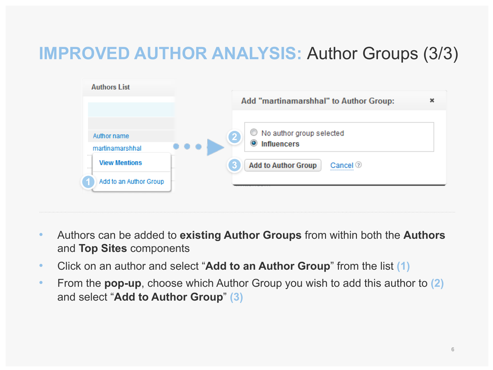### **IMPROVED AUTHOR ANALYSIS:** Author Groups (3/3)



- Authors can be added to **existing Author Groups** from within both the **Authors** and **Top Sites** components
- Click on an author and select "**Add to an Author Group**" from the list **(1)**
- From the **pop-up**, choose which Author Group you wish to add this author to **(2)** and select "**Add to Author Group**" **(3)**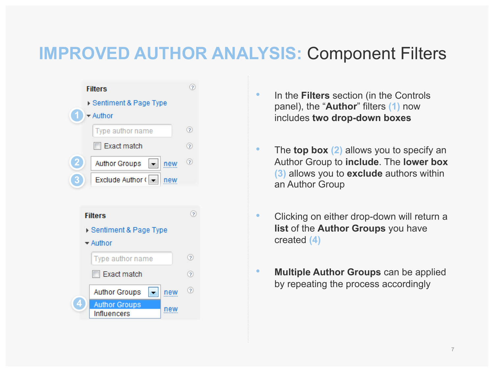#### **IMPROVED AUTHOR ANALYSIS:** Component Filters



- In the **Filters** section (in the Controls panel), the "**Author**" filters **(1)** now includes **two drop-down boxes**
- The **top box (2)** allows you to specify an Author Group to **include**. The **lower box (3)** allows you to **exclude** authors within an Author Group
- Clicking on either drop-down will return a **list** of the **Author Groups** you have created **(4)**
- **Multiple Author Groups** can be applied by repeating the process accordingly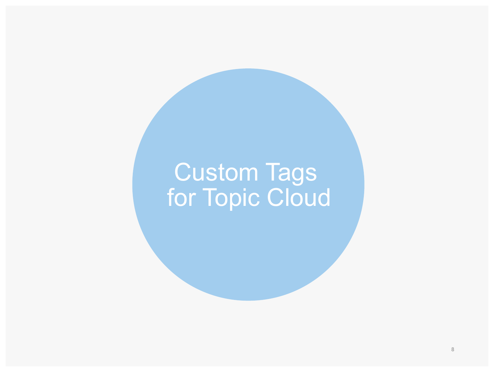# Custom Tags for Topic Cloud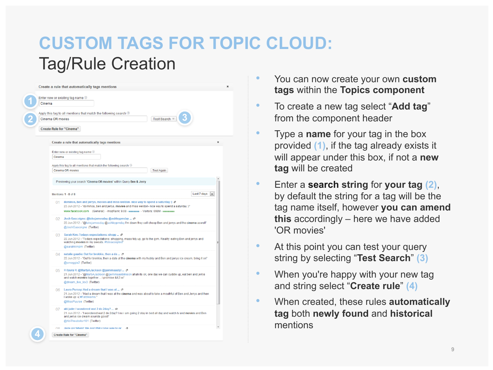## **CUSTOM TAGS FOR TOPIC CLOUD:**  Tag/Rule Creation

|        | Enter new or existing tag name 2                                                                                                                                                                                                                                                 |
|--------|----------------------------------------------------------------------------------------------------------------------------------------------------------------------------------------------------------------------------------------------------------------------------------|
| Cinema |                                                                                                                                                                                                                                                                                  |
|        | Apply this tag to all mentions that match the following search $\oslash$                                                                                                                                                                                                         |
|        | Test Search ≥<br>Cinema OR movies                                                                                                                                                                                                                                                |
|        | <b>Create Rule for "Cinema"</b>                                                                                                                                                                                                                                                  |
|        | Create a rule that automatically tags mentions                                                                                                                                                                                                                                   |
|        | Enter new or existing tag name 2                                                                                                                                                                                                                                                 |
|        | Cinema                                                                                                                                                                                                                                                                           |
|        | Apply this tag to all mentions that match the following search $\oslash$                                                                                                                                                                                                         |
|        | Cinema OR movies<br><b>Test Again</b>                                                                                                                                                                                                                                            |
|        | Previewing your search "Cinema OR movies" within Query Ben & Jerry                                                                                                                                                                                                               |
|        |                                                                                                                                                                                                                                                                                  |
|        | Last 7 days<br>Mentions 1 - 8 of 8<br>$\overline{\phantom{a}}$                                                                                                                                                                                                                   |
|        | 01 dominos, ben and jerrys, movies and miss weldon-nice way to spend a saturday :) <b>D</b><br>23 Jun 2012 - "dominos, ben and jerrys, movies and miss weldon- nice way to spend a saturday:)"<br>www.facebook.com (General) - mozRank: 9.08 - minimu - Visitors: 698M - minimum |
|        | ()2 Josh Gascoigne: @lukejamesday @ashleypmday  D<br>22 Jun 2012 - "@lukejamesday @ashleypmday I'm down they sell cheep Ben and jerrys and the cinema aswell"<br>@JoshGascoigne (Twitter)                                                                                        |
|        |                                                                                                                                                                                                                                                                                  |
|        | ()3 Sarah Kim: Todays expectations: shopp <b>D</b><br>22 Jun 2012 - "Todays expectations: shopping, mass tidy up, go to the gym. Reality: eating Ben and jerrys and<br>watching movies in my sweats. #fateaccepted"<br>出<br>@sarahkimjim (Twitter)                               |
|        | 04 natalie gaudie: Out for brekkie, then a da  c<br>22 Jun 2012 - "Out for brekkie, then a date at the cinema with my hubby and Ben and jerrys ice cream, bring it on"<br>@smoggie2 (Twitter)                                                                                    |
|        | 05 = £aura ≡: @MartyAJackson @gemmaastyl  D<br>21 Jun 2012 - "@MartyAJackson @gemmaastylinson ahah its ok, one day we can cuddle up, eat ben and jerrys<br>and watch movies together  i promise &It3 xx"<br>@dream_live_lov3 (Twitter)                                           |
|        | O6 Laura Pursey: Had a dream that I was at  @<br>21 Jun 2012 - "Had a dream that I was at the cinema and was about to take a mouthful of Ben and Jerrys and then<br>I woke up :- (#Fatdreams."<br>@MissPuurse (Twitter)                                                          |
|        | 07 abi jade: I wondered wat 2 do 2day? <b>□</b><br>21 Jun 2012 - "I wondered wat 2 do 2day? I no i am going 2 stay in bed all day and watch tv and movies and Ben<br>and jerrys ice cream sounds good!"<br>@AbiTheabstur101 (Twitter)                                            |

- You can now create your own **custom tags** within the **Topics component**
- To create a new tag select "**Add tag**" from the component header
- Type a **name** for your tag in the box provided **(1)**, if the tag already exists it will appear under this box, if not a **new tag** will be created
- Enter a **search string** for **your tag (2)**, by default the string for a tag will be the tag name itself, however **you can amend this** accordingly – here we have added 'OR movies'
- At this point you can test your query string by selecting "**Test Search**" **(3)**
- When you're happy with your new tag and string select "**Create rule**" **(4)**
- When created, these rules **automatically tag** both **newly found** and **historical**  mentions